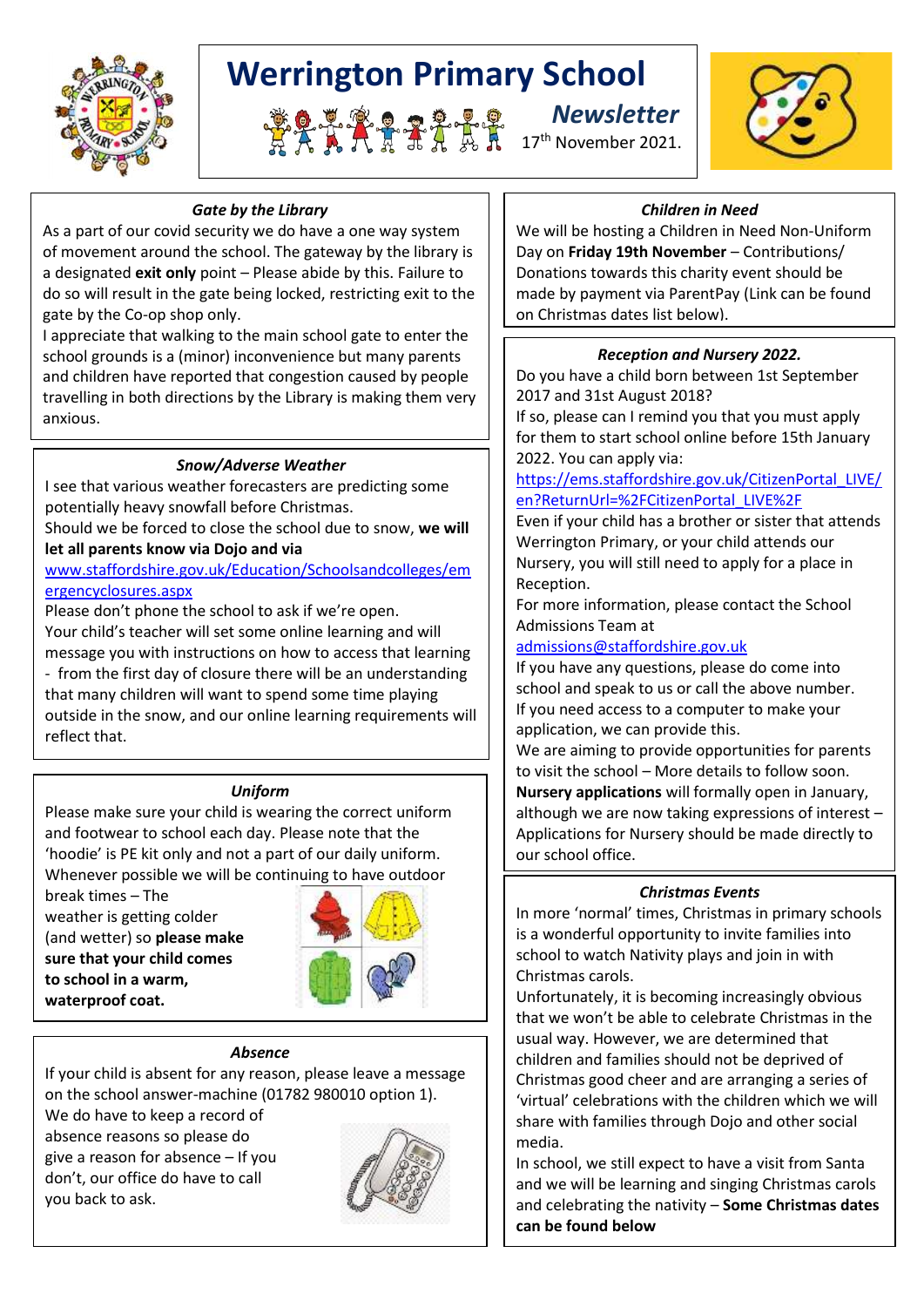

# **Werrington Primary School**







## *Gate by the Library*

As a part of our covid security we do have a one way system of movement around the school. The gateway by the library is a designated **exit only** point – Please abide by this. Failure to do so will result in the gate being locked, restricting exit to the gate by the Co-op shop only.

I appreciate that walking to the main school gate to enter the school grounds is a (minor) inconvenience but many parents and children have reported that congestion caused by people travelling in both directions by the Library is making them very anxious.

## *Snow/Adverse Weather*

I see that various weather forecasters are predicting some potentially heavy snowfall before Christmas.

Should we be forced to close the school due to snow, **we will let all parents know via Dojo and via** 

[www.staffordshire.gov.uk/Education/Schoolsandcolleges/em](http://www.staffordshire.gov.uk/Education/Schoolsandcolleges/emergencyclosures.aspx) [ergencyclosures.aspx](http://www.staffordshire.gov.uk/Education/Schoolsandcolleges/emergencyclosures.aspx)

Please don't phone the school to ask if we're open. Your child's teacher will set some online learning and will message you with instructions on how to access that learning - from the first day of closure there will be an understanding that many children will want to spend some time playing outside in the snow, and our online learning requirements will reflect that.

#### *Uniform*

Please make sure your child is wearing the correct uniform and footwear to school each day. Please note that the 'hoodie' is PE kit only and not a part of our daily uniform. Whenever possible we will be continuing to have outdoor

break times – The weather is getting colder (and wetter) so **please make sure that your child comes to school in a warm, waterproof coat.**



#### *Absence*

If your child is absent for any reason, please leave a message on the school answer-machine (01782 980010 option 1).

We do have to keep a record of absence reasons so please do give a reason for absence – If you don't, our office do have to call you back to ask.



## *Children in Need*

We will be hosting a Children in Need Non-Uniform Day on **Friday 19th November** – Contributions/ Donations towards this charity event should be made by payment via ParentPay (Link can be found on Christmas dates list below).

## *Reception and Nursery 2022.*

Do you have a child born between 1st September 2017 and 31st August 2018?

If so, please can I remind you that you must apply for them to start school online before 15th January 2022. You can apply via:

[https://ems.staffordshire.gov.uk/CitizenPortal\\_LIVE/](https://ems.staffordshire.gov.uk/CitizenPortal_LIVE/en?ReturnUrl=%2FCitizenPortal_LIVE%2F) [en?ReturnUrl=%2FCitizenPortal\\_LIVE%2F](https://ems.staffordshire.gov.uk/CitizenPortal_LIVE/en?ReturnUrl=%2FCitizenPortal_LIVE%2F)

Even if your child has a brother or sister that attends Werrington Primary, or your child attends our Nursery, you will still need to apply for a place in Reception.

For more information, please contact the School Admissions Team at

[admissions@staffordshire.gov.uk](mailto:admissions@staffordshire.gov.uk)

If you have any questions, please do come into school and speak to us or call the above number. If you need access to a computer to make your application, we can provide this.

We are aiming to provide opportunities for parents to visit the school – More details to follow soon. **Nursery applications** will formally open in January, although we are now taking expressions of interest – Applications for Nursery should be made directly to our school office.

## *Christmas Events*

In more 'normal' times, Christmas in primary schools is a wonderful opportunity to invite families into school to watch Nativity plays and join in with Christmas carols.

Unfortunately, it is becoming increasingly obvious that we won't be able to celebrate Christmas in the usual way. However, we are determined that children and families should not be deprived of Christmas good cheer and are arranging a series of 'virtual' celebrations with the children which we will share with families through Dojo and other social media.

In school, we still expect to have a visit from Santa and we will be learning and singing Christmas carols and celebrating the nativity – **Some Christmas dates can be found below**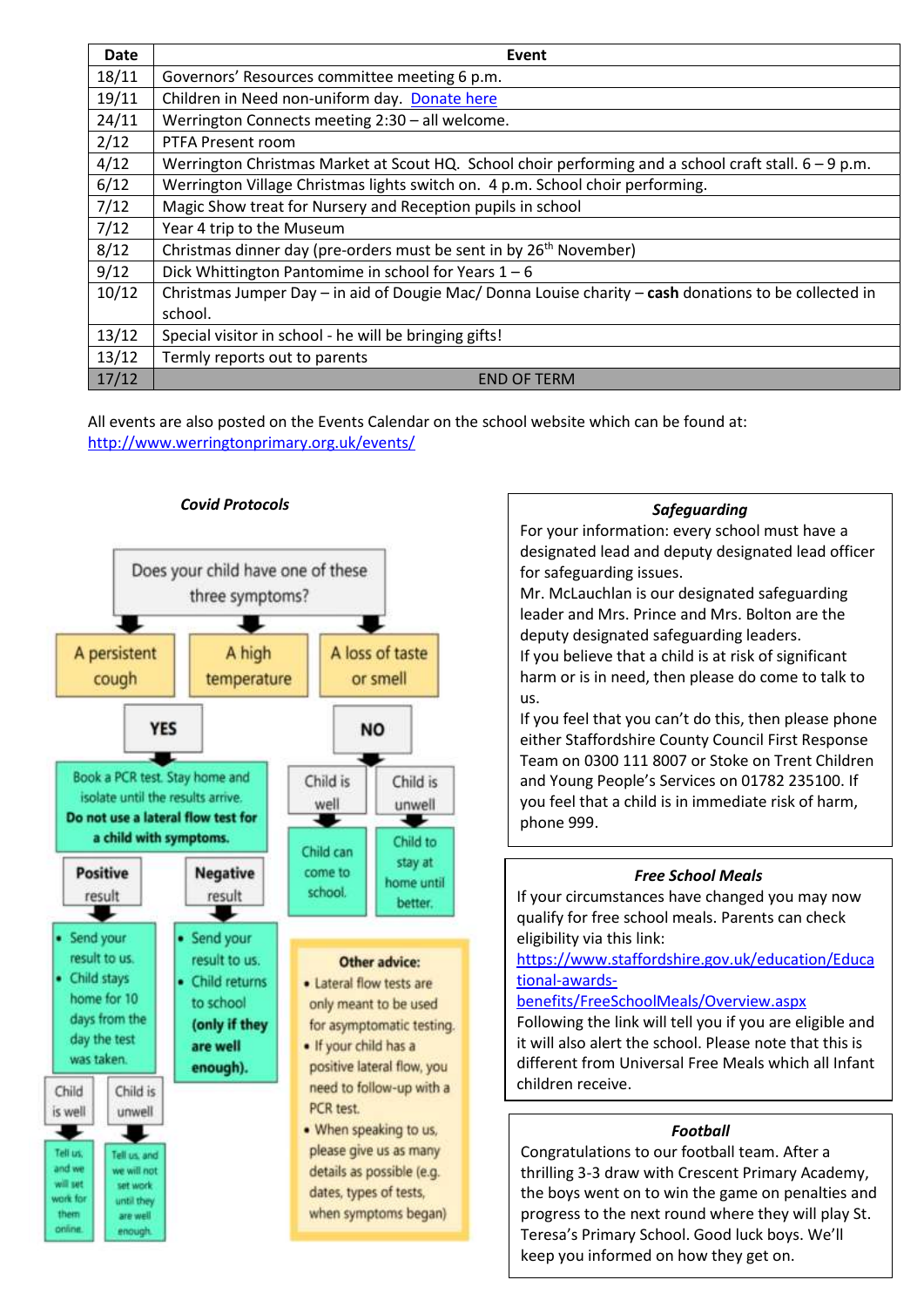| <b>Date</b> | Event                                                                                                 |  |  |
|-------------|-------------------------------------------------------------------------------------------------------|--|--|
| 18/11       | Governors' Resources committee meeting 6 p.m.                                                         |  |  |
| 19/11       | Children in Need non-uniform day. Donate here                                                         |  |  |
| 24/11       | Werrington Connects meeting 2:30 - all welcome.                                                       |  |  |
| 2/12        | PTFA Present room                                                                                     |  |  |
| 4/12        | Werrington Christmas Market at Scout HQ. School choir performing and a school craft stall. 6 – 9 p.m. |  |  |
| 6/12        | Werrington Village Christmas lights switch on. 4 p.m. School choir performing.                        |  |  |
| 7/12        | Magic Show treat for Nursery and Reception pupils in school                                           |  |  |
| 7/12        | Year 4 trip to the Museum                                                                             |  |  |
| 8/12        | Christmas dinner day (pre-orders must be sent in by 26 <sup>th</sup> November)                        |  |  |
| 9/12        | Dick Whittington Pantomime in school for Years $1 - 6$                                                |  |  |
| 10/12       | Christmas Jumper Day - in aid of Dougie Mac/ Donna Louise charity - cash donations to be collected in |  |  |
|             | school.                                                                                               |  |  |
| 13/12       | Special visitor in school - he will be bringing gifts!                                                |  |  |
| 13/12       | Termly reports out to parents                                                                         |  |  |
| 17/12       | <b>END OF TERM</b>                                                                                    |  |  |

All events are also posted on the Events Calendar on the school website which can be found at: <http://www.werringtonprimary.org.uk/events/>



#### *Safeguarding*

For your information: every school must have a designated lead and deputy designated lead officer for safeguarding issues.

Mr. McLauchlan is our designated safeguarding leader and Mrs. Prince and Mrs. Bolton are the deputy designated safeguarding leaders. If you believe that a child is at risk of significant harm or is in need, then please do come to talk to us.

If you feel that you can't do this, then please phone either Staffordshire County Council First Response Team on 0300 111 8007 or Stoke on Trent Children and Young People's Services on 01782 235100. If you feel that a child is in immediate risk of harm, phone 999.

#### *Free School Meals*

If your circumstances have changed you may now qualify for free school meals. Parents can check eligibility via this link:

[https://www.staffordshire.gov.uk/education/Educa](https://www.staffordshire.gov.uk/education/Educational-awards-benefits/FreeSchoolMeals/Overview.aspx) [tional-awards-](https://www.staffordshire.gov.uk/education/Educational-awards-benefits/FreeSchoolMeals/Overview.aspx)

### [benefits/FreeSchoolMeals/Overview.aspx](https://www.staffordshire.gov.uk/education/Educational-awards-benefits/FreeSchoolMeals/Overview.aspx)

Following the link will tell you if you are eligible and it will also alert the school. Please note that this is different from Universal Free Meals which all Infant children receive.

### *Football*

Congratulations to our football team. After a thrilling 3-3 draw with Crescent Primary Academy, the boys went on to win the game on penalties and progress to the next round where they will play St. Teresa's Primary School. Good luck boys. We'll keep you informed on how they get on.